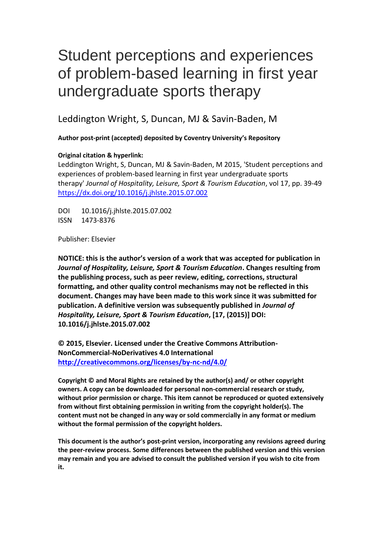# Student perceptions and experiences of problem-based learning in first year undergraduate sports therapy

# Leddington Wright, S, Duncan, MJ & Savin-Baden, M

# **Author post-print (accepted) deposited by Coventry University's Repository**

# **Original citation & hyperlink:**

Leddington Wright, S, Duncan, MJ & Savin-Baden, M 2015, 'Student perceptions and experiences of problem-based learning in first year undergraduate sports therapy' *Journal of Hospitality, Leisure, Sport & Tourism Education*, vol 17, pp. 39-49 <https://dx.doi.org/10.1016/j.jhlste.2015.07.002>

DOI 10.1016/j.jhlste.2015.07.002 ISSN 1473-8376

Publisher: Elsevier

**NOTICE: this is the author's version of a work that was accepted for publication in**  *Journal of Hospitality, Leisure, Sport & Tourism Education***. Changes resulting from the publishing process, such as peer review, editing, corrections, structural formatting, and other quality control mechanisms may not be reflected in this document. Changes may have been made to this work since it was submitted for publication. A definitive version was subsequently published in** *Journal of Hospitality, Leisure, Sport & Tourism Education***, [17, (2015)] DOI: 10.1016/j.jhlste.2015.07.002**

**© 2015, Elsevier. Licensed under the Creative Commons Attribution-NonCommercial-NoDerivatives 4.0 International <http://creativecommons.org/licenses/by-nc-nd/4.0/>**

**Copyright © and Moral Rights are retained by the author(s) and/ or other copyright owners. A copy can be downloaded for personal non-commercial research or study, without prior permission or charge. This item cannot be reproduced or quoted extensively from without first obtaining permission in writing from the copyright holder(s). The content must not be changed in any way or sold commercially in any format or medium without the formal permission of the copyright holders.** 

**This document is the author's post-print version, incorporating any revisions agreed during the peer-review process. Some differences between the published version and this version may remain and you are advised to consult the published version if you wish to cite from it.**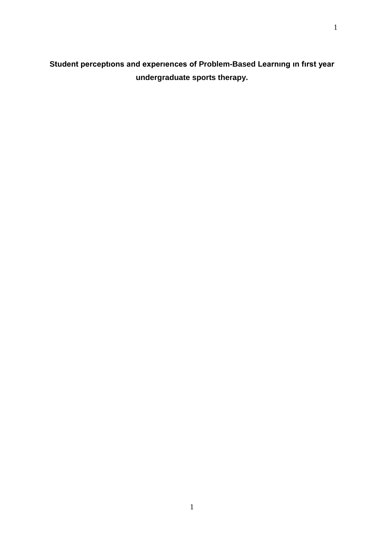1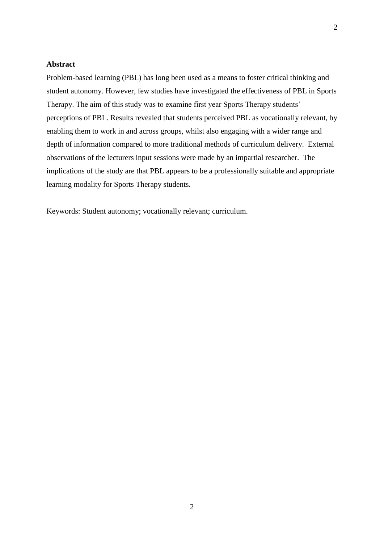## **Abstract**

Problem-based learning (PBL) has long been used as a means to foster critical thinking and student autonomy. However, few studies have investigated the effectiveness of PBL in Sports Therapy. The aim of this study was to examine first year Sports Therapy students' perceptions of PBL. Results revealed that students perceived PBL as vocationally relevant, by enabling them to work in and across groups, whilst also engaging with a wider range and depth of information compared to more traditional methods of curriculum delivery. External observations of the lecturers input sessions were made by an impartial researcher. The implications of the study are that PBL appears to be a professionally suitable and appropriate learning modality for Sports Therapy students.

Keywords: Student autonomy; vocationally relevant; curriculum.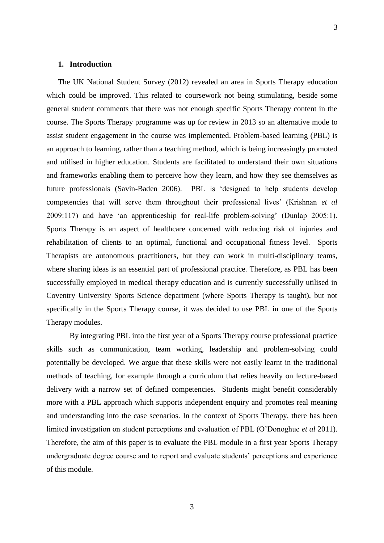#### **1. Introduction**

The UK National Student Survey (2012) revealed an area in Sports Therapy education which could be improved. This related to coursework not being stimulating, beside some general student comments that there was not enough specific Sports Therapy content in the course. The Sports Therapy programme was up for review in 2013 so an alternative mode to assist student engagement in the course was implemented. Problem-based learning (PBL) is an approach to learning, rather than a teaching method, which is being increasingly promoted and utilised in higher education. Students are facilitated to understand their own situations and frameworks enabling them to perceive how they learn, and how they see themselves as future professionals (Savin-Baden 2006). PBL is 'designed to help students develop competencies that will serve them throughout their professional lives' (Krishnan *et al* 2009:117) and have 'an apprenticeship for real-life problem-solving' (Dunlap 2005:1). Sports Therapy is an aspect of healthcare concerned with reducing risk of injuries and rehabilitation of clients to an optimal, functional and occupational fitness level. Sports Therapists are autonomous practitioners, but they can work in multi-disciplinary teams, where sharing ideas is an essential part of professional practice. Therefore, as PBL has been successfully employed in medical therapy education and is currently successfully utilised in Coventry University Sports Science department (where Sports Therapy is taught), but not specifically in the Sports Therapy course, it was decided to use PBL in one of the Sports Therapy modules.

By integrating PBL into the first year of a Sports Therapy course professional practice skills such as communication, team working, leadership and problem-solving could potentially be developed. We argue that these skills were not easily learnt in the traditional methods of teaching, for example through a curriculum that relies heavily on lecture-based delivery with a narrow set of defined competencies. Students might benefit considerably more with a PBL approach which supports independent enquiry and promotes real meaning and understanding into the case scenarios. In the context of Sports Therapy, there has been limited investigation on student perceptions and evaluation of PBL (O'Donoghue *et al* 2011). Therefore, the aim of this paper is to evaluate the PBL module in a first year Sports Therapy undergraduate degree course and to report and evaluate students' perceptions and experience of this module.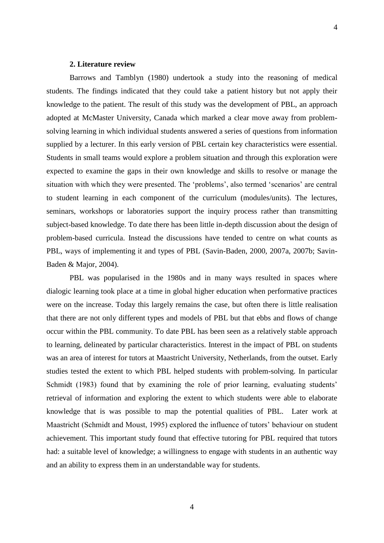#### **2. Literature review**

Barrows and Tamblyn (1980) undertook a study into the reasoning of medical students. The findings indicated that they could take a patient history but not apply their knowledge to the patient. The result of this study was the development of PBL, an approach adopted at McMaster University, Canada which marked a clear move away from problemsolving learning in which individual students answered a series of questions from information supplied by a lecturer. In this early version of PBL certain key characteristics were essential. Students in small teams would explore a problem situation and through this exploration were expected to examine the gaps in their own knowledge and skills to resolve or manage the situation with which they were presented. The 'problems', also termed 'scenarios' are central to student learning in each component of the curriculum (modules/units). The lectures, seminars, workshops or laboratories support the inquiry process rather than transmitting subject-based knowledge. To date there has been little in-depth discussion about the design of problem-based curricula. Instead the discussions have tended to centre on what counts as PBL, ways of implementing it and types of PBL (Savin-Baden, 2000, 2007a, 2007b; Savin-Baden & Major, 2004).

PBL was popularised in the 1980s and in many ways resulted in spaces where dialogic learning took place at a time in global higher education when performative practices were on the increase. Today this largely remains the case, but often there is little realisation that there are not only different types and models of PBL but that ebbs and flows of change occur within the PBL community. To date PBL has been seen as a relatively stable approach to learning, delineated by particular characteristics. Interest in the impact of PBL on students was an area of interest for tutors at Maastricht University, Netherlands, from the outset. Early studies tested the extent to which PBL helped students with problem-solving. In particular Schmidt (1983) found that by examining the role of prior learning, evaluating students' retrieval of information and exploring the extent to which students were able to elaborate knowledge that is was possible to map the potential qualities of PBL. Later work at Maastricht (Schmidt and Moust, 1995) explored the influence of tutors' behaviour on student achievement. This important study found that effective tutoring for PBL required that tutors had: a suitable level of knowledge; a willingness to engage with students in an authentic way and an ability to express them in an understandable way for students.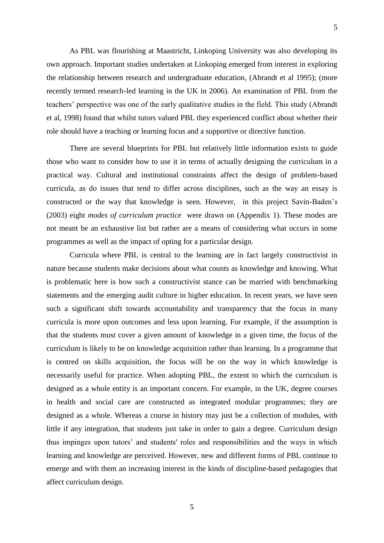As PBL was flourishing at Maastricht, Linkoping University was also developing its own approach. Important studies undertaken at Linkoping emerged from interest in exploring the relationship between research and undergraduate education, (Abrandt et al 1995); (more recently termed research-led learning in the UK in 2006). An examination of PBL from the teachers' perspective was one of the early qualitative studies in the field. This study (Abrandt et al, 1998) found that whilst tutors valued PBL they experienced conflict about whether their role should have a teaching or learning focus and a supportive or directive function.

There are several blueprints for PBL but relatively little information exists to guide those who want to consider how to use it in terms of actually designing the curriculum in a practical way. Cultural and institutional constraints affect the design of problem-based curricula, as do issues that tend to differ across disciplines, such as the way an essay is constructed or the way that knowledge is seen. However, in this project Savin-Baden's (2003) eight *modes of curriculum practice* were drawn on (Appendix 1). These modes are not meant be an exhaustive list but rather are a means of considering what occurs in some programmes as well as the impact of opting for a particular design.

Curricula where PBL is central to the learning are in fact largely constructivist in nature because students make decisions about what counts as knowledge and knowing. What is problematic here is how such a constructivist stance can be married with benchmarking statements and the emerging audit culture in higher education. In recent years, we have seen such a significant shift towards accountability and transparency that the focus in many curricula is more upon outcomes and less upon learning. For example, if the assumption is that the students must cover a given amount of knowledge in a given time, the focus of the curriculum is likely to be on knowledge acquisition rather than learning. In a programme that is centred on skills acquisition, the focus will be on the way in which knowledge is necessarily useful for practice. When adopting PBL, the extent to which the curriculum is designed as a whole entity is an important concern. For example, in the UK, degree courses in health and social care are constructed as integrated modular programmes; they are designed as a whole. Whereas a course in history may just be a collection of modules, with little if any integration, that students just take in order to gain a degree. Curriculum design thus impinges upon tutors' and students' roles and responsibilities and the ways in which learning and knowledge are perceived. However, new and different forms of PBL continue to emerge and with them an increasing interest in the kinds of discipline-based pedagogies that affect curriculum design.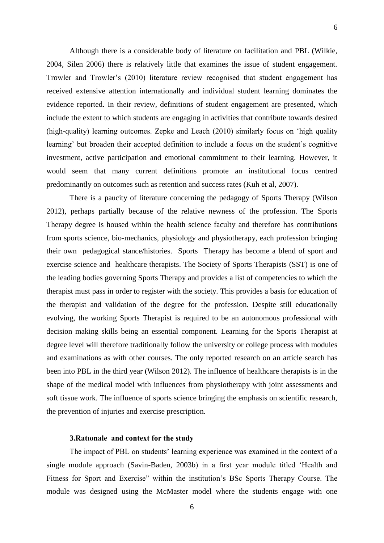Although there is a considerable body of literature on facilitation and PBL (Wilkie, 2004, Silen 2006) there is relatively little that examines the issue of student engagement. Trowler and Trowler's (2010) literature review recognised that student engagement has received extensive attention internationally and individual student learning dominates the evidence reported. In their review, definitions of student engagement are presented, which include the extent to which students are engaging in activities that contribute towards desired (high-quality) learning outcomes. Zepke and Leach (2010) similarly focus on 'high quality learning' but broaden their accepted definition to include a focus on the student's cognitive investment, active participation and emotional commitment to their learning. However, it would seem that many current definitions promote an institutional focus centred predominantly on outcomes such as retention and success rates (Kuh et al, 2007).

There is a paucity of literature concerning the pedagogy of Sports Therapy (Wilson 2012), perhaps partially because of the relative newness of the profession. The Sports Therapy degree is housed within the health science faculty and therefore has contributions from sports science, bio-mechanics, physiology and physiotherapy, each profession bringing their own pedagogical stance/histories. Sports Therapy has become a blend of sport and exercise science and healthcare therapists. The Society of Sports Therapists (SST) is one of the leading bodies governing Sports Therapy and provides a list of competencies to which the therapist must pass in order to register with the society. This provides a basis for education of the therapist and validation of the degree for the profession. Despite still educationally evolving, the working Sports Therapist is required to be an autonomous professional with decision making skills being an essential component. Learning for the Sports Therapist at degree level will therefore traditionally follow the university or college process with modules and examinations as with other courses. The only reported research on an article search has been into PBL in the third year (Wilson 2012). The influence of healthcare therapists is in the shape of the medical model with influences from physiotherapy with joint assessments and soft tissue work. The influence of sports science bringing the emphasis on scientific research, the prevention of injuries and exercise prescription.

# **3.Ratıonale and context for the study**

The impact of PBL on students' learning experience was examined in the context of a single module approach (Savin-Baden, 2003b) in a first year module titled 'Health and Fitness for Sport and Exercise" within the institution's BSc Sports Therapy Course. The module was designed using the McMaster model where the students engage with one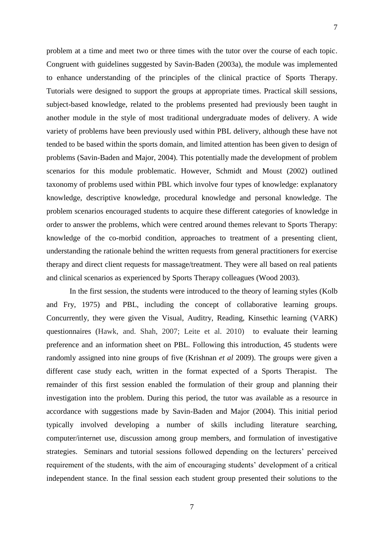problem at a time and meet two or three times with the tutor over the course of each topic. Congruent with guidelines suggested by Savin-Baden (2003a), the module was implemented to enhance understanding of the principles of the clinical practice of Sports Therapy. Tutorials were designed to support the groups at appropriate times. Practical skill sessions, subject-based knowledge, related to the problems presented had previously been taught in another module in the style of most traditional undergraduate modes of delivery. A wide variety of problems have been previously used within PBL delivery, although these have not tended to be based within the sports domain, and limited attention has been given to design of problems (Savin-Baden and Major, 2004). This potentially made the development of problem scenarios for this module problematic. However, Schmidt and Moust (2002) outlined taxonomy of problems used within PBL which involve four types of knowledge: explanatory knowledge, descriptive knowledge, procedural knowledge and personal knowledge. The problem scenarios encouraged students to acquire these different categories of knowledge in order to answer the problems, which were centred around themes relevant to Sports Therapy: knowledge of the co-morbid condition, approaches to treatment of a presenting client, understanding the rationale behind the written requests from general practitioners for exercise therapy and direct client requests for massage/treatment. They were all based on real patients and clinical scenarios as experienced by Sports Therapy colleagues (Wood 2003).

In the first session, the students were introduced to the theory of learning styles (Kolb and Fry, 1975) and PBL, including the concept of collaborative learning groups. Concurrently, they were given the Visual, Auditry, Reading, Kinsethic learning (VARK) questionnaires (Hawk, and. Shah, 2007; Leite et al. 2010) to evaluate their learning preference and an information sheet on PBL. Following this introduction, 45 students were randomly assigned into nine groups of five (Krishnan *et al* 2009). The groups were given a different case study each, written in the format expected of a Sports Therapist. The remainder of this first session enabled the formulation of their group and planning their investigation into the problem. During this period, the tutor was available as a resource in accordance with suggestions made by Savin-Baden and Major (2004). This initial period typically involved developing a number of skills including literature searching, computer/internet use, discussion among group members, and formulation of investigative strategies. Seminars and tutorial sessions followed depending on the lecturers' perceived requirement of the students, with the aim of encouraging students' development of a critical independent stance. In the final session each student group presented their solutions to the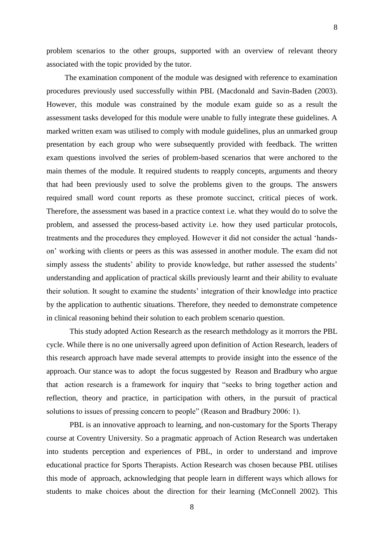problem scenarios to the other groups, supported with an overview of relevant theory associated with the topic provided by the tutor.

The examination component of the module was designed with reference to examination procedures previously used successfully within PBL (Macdonald and Savin-Baden (2003). However, this module was constrained by the module exam guide so as a result the assessment tasks developed for this module were unable to fully integrate these guidelines. A marked written exam was utilised to comply with module guidelines, plus an unmarked group presentation by each group who were subsequently provided with feedback. The written exam questions involved the series of problem-based scenarios that were anchored to the main themes of the module. It required students to reapply concepts, arguments and theory that had been previously used to solve the problems given to the groups. The answers required small word count reports as these promote succinct, critical pieces of work. Therefore, the assessment was based in a practice context i.e. what they would do to solve the problem, and assessed the process-based activity i.e. how they used particular protocols, treatments and the procedures they employed. However it did not consider the actual 'handson' working with clients or peers as this was assessed in another module. The exam did not simply assess the students' ability to provide knowledge, but rather assessed the students' understanding and application of practical skills previously learnt and their ability to evaluate their solution. It sought to examine the students' integration of their knowledge into practice by the application to authentic situations. Therefore, they needed to demonstrate competence in clinical reasoning behind their solution to each problem scenario question.

This study adopted Action Research as the research methdology as it morrors the PBL cycle. While there is no one universally agreed upon definition of Action Research, leaders of this research approach have made several attempts to provide insight into the essence of the approach. Our stance was to adopt the focus suggested by Reason and Bradbury who argue that action research is a framework for inquiry that "seeks to bring together action and reflection, theory and practice, in participation with others, in the pursuit of practical solutions to issues of pressing concern to people" (Reason and Bradbury 2006: 1).

PBL is an innovative approach to learning, and non-customary for the Sports Therapy course at Coventry University. So a pragmatic approach of Action Research was undertaken into students perception and experiences of PBL, in order to understand and improve educational practice for Sports Therapists. Action Research was chosen because PBL utilises this mode of approach, acknowledging that people learn in different ways which allows for students to make choices about the direction for their learning (McConnell 2002). This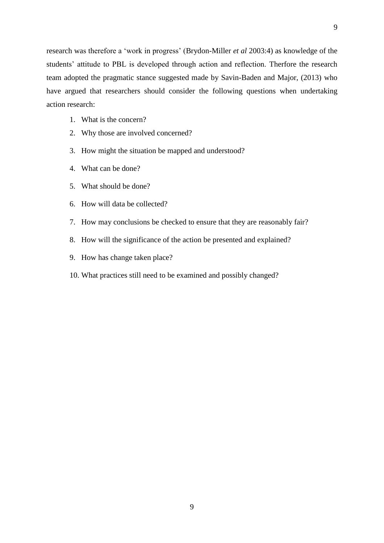research was therefore a 'work in progress' (Brydon-Miller *et al* 2003:4) as knowledge of the students' attitude to PBL is developed through action and reflection. Therfore the research team adopted the pragmatic stance suggested made by Savin-Baden and Major, (2013) who have argued that researchers should consider the following questions when undertaking action research:

- 1. What is the concern?
- 2. Why those are involved concerned?
- 3. How might the situation be mapped and understood?
- 4. What can be done?
- 5. What should be done?
- 6. How will data be collected?
- 7. How may conclusions be checked to ensure that they are reasonably fair?
- 8. How will the significance of the action be presented and explained?
- 9. How has change taken place?
- 10. What practices still need to be examined and possibly changed?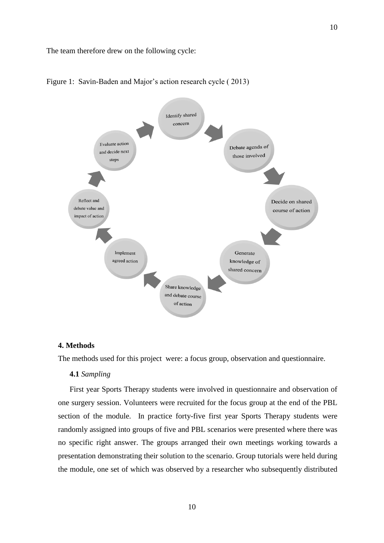The team therefore drew on the following cycle:



Figure 1: Savin-Baden and Major's action research cycle ( 2013)

#### **4. Methods**

The methods used for this project were: a focus group, observation and questionnaire.

#### **4.1** *Sampling*

First year Sports Therapy students were involved in questionnaire and observation of one surgery session. Volunteers were recruited for the focus group at the end of the PBL section of the module. In practice forty-five first year Sports Therapy students were randomly assigned into groups of five and PBL scenarios were presented where there was no specific right answer. The groups arranged their own meetings working towards a presentation demonstrating their solution to the scenario. Group tutorials were held during the module, one set of which was observed by a researcher who subsequently distributed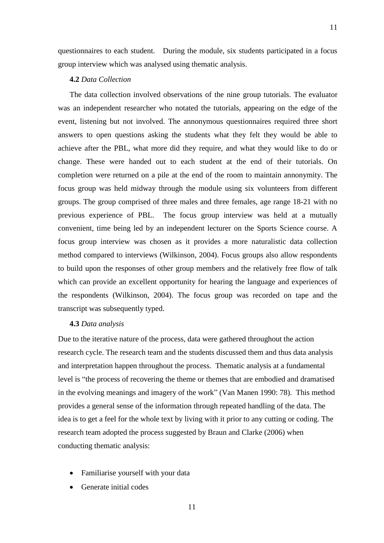questionnaires to each student. During the module, six students participated in a focus group interview which was analysed using thematic analysis.

11

#### **4.2** *Data Collection*

The data collection involved observations of the nine group tutorials. The evaluator was an independent researcher who notated the tutorials, appearing on the edge of the event, listening but not involved. The annonymous questionnaires required three short answers to open questions asking the students what they felt they would be able to achieve after the PBL, what more did they require, and what they would like to do or change. These were handed out to each student at the end of their tutorials. On completion were returned on a pile at the end of the room to maintain annonymity. The focus group was held midway through the module using six volunteers from different groups. The group comprised of three males and three females, age range 18-21 with no previous experience of PBL. The focus group interview was held at a mutually convenient, time being led by an independent lecturer on the Sports Science course. A focus group interview was chosen as it provides a more naturalistic data collection method compared to interviews (Wilkinson, 2004). Focus groups also allow respondents to build upon the responses of other group members and the relatively free flow of talk which can provide an excellent opportunity for hearing the language and experiences of the respondents (Wilkinson, 2004). The focus group was recorded on tape and the transcript was subsequently typed.

#### **4.3** *Data analysis*

Due to the iterative nature of the process, data were gathered throughout the action research cycle. The research team and the students discussed them and thus data analysis and interpretation happen throughout the process. Thematic analysis at a fundamental level is "the process of recovering the theme or themes that are embodied and dramatised in the evolving meanings and imagery of the work" (Van Manen 1990: 78). This method provides a general sense of the information through repeated handling of the data. The idea is to get a feel for the whole text by living with it prior to any cutting or coding. The research team adopted the process suggested by Braun and Clarke (2006) when conducting thematic analysis:

- Familiarise yourself with your data
- Generate initial codes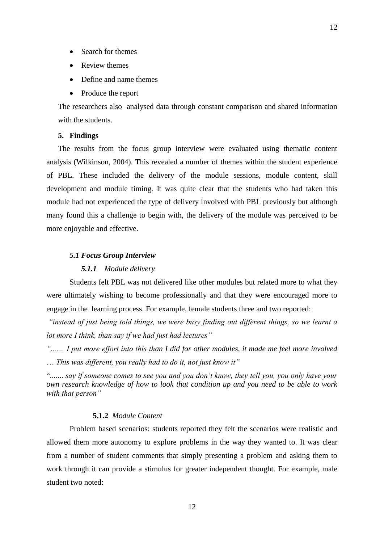- Search for themes
- Review themes
- Define and name themes
- Produce the report

The researchers also analysed data through constant comparison and shared information with the students.

#### **5. Findings**

The results from the focus group interview were evaluated using thematic content analysis (Wilkinson, 2004). This revealed a number of themes within the student experience of PBL. These included the delivery of the module sessions, module content, skill development and module timing. It was quite clear that the students who had taken this module had not experienced the type of delivery involved with PBL previously but although many found this a challenge to begin with, the delivery of the module was perceived to be more enjoyable and effective.

#### *5.1 Focus Group Interview*

#### *5.1.1 Module delivery*

Students felt PBL was not delivered like other modules but related more to what they were ultimately wishing to become professionally and that they were encouraged more to engage in the learning process. For example, female students three and two reported:

*"instead of just being told things, we were busy finding out different things, so we learnt a lot more I think, than say if we had just had lectures"*

*"....... I put more effort into this than I did for other modules, it made me feel more involved* … *This was different, you really had to do it, not just know it"*

"....... *say if someone comes to see you and you don't know, they tell you, you only have your own research knowledge of how to look that condition up and you need to be able to work with that person"*

# **5.1.2** *Module Content*

Problem based scenarios: students reported they felt the scenarios were realistic and allowed them more autonomy to explore problems in the way they wanted to. It was clear from a number of student comments that simply presenting a problem and asking them to work through it can provide a stimulus for greater independent thought. For example, male student two noted: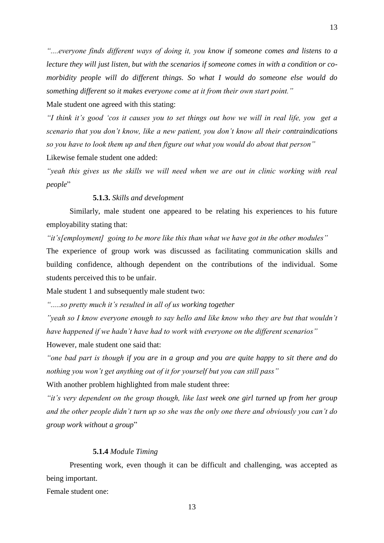*"....everyone finds different ways of doing it, you know if someone comes and listens to a lecture they will just listen, but with the scenarios if someone comes in with a condition or comorbidity people will do different things. So what I would do someone else would do something different so it makes everyone come at it from their own start point."*

Male student one agreed with this stating:

*"I think it's good 'cos it causes you to set things out how we will in real life, you get a scenario that you don't know, like a new patient, you don't know all their contraindications so you have to look them up and then figure out what you would do about that person"*

Likewise female student one added:

*"yeah this gives us the skills we will need when we are out in clinic working with real people*"

# **5.1.3.** *Skills and development*

Similarly, male student one appeared to be relating his experiences to his future employability stating that:

*"it's[employment] going to be more like this than what we have got in the other modules"*

The experience of group work was discussed as facilitating communication skills and building confidence, although dependent on the contributions of the individual. Some students perceived this to be unfair.

Male student 1 and subsequently male student two:

*".....so pretty much it's resulted in all of us working together* 

*"yeah so I know everyone enough to say hello and like know who they are but that wouldn't have happened if we hadn't have had to work with everyone on the different scenarios"* 

However, male student one said that:

*"one bad part is though if you are in a group and you are quite happy to sit there and do nothing you won't get anything out of it for yourself but you can still pass"*

With another problem highlighted from male student three:

*"it's very dependent on the group though, like last week one girl turned up from her group and the other people didn't turn up so she was the only one there and obviously you can't do group work without a group*"

#### **5.1.4** *Module Timing*

Presenting work, even though it can be difficult and challenging, was accepted as being important.

Female student one: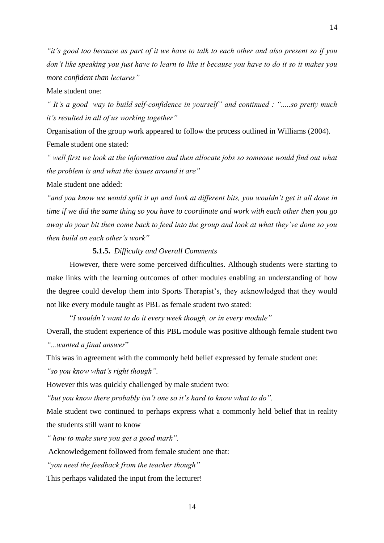*"it's good too because as part of it we have to talk to each other and also present so if you don't like speaking you just have to learn to like it because you have to do it so it makes you more confident than lectures"* 

Male student one:

*" It's a good way to build self-confidence in yourself" and continued : ".....so pretty much it's resulted in all of us working together"*

Organisation of the group work appeared to follow the process outlined in Williams (2004). Female student one stated:

*" well first we look at the information and then allocate jobs so someone would find out what the problem is and what the issues around it are"*

Male student one added:

*"and you know we would split it up and look at different bits, you wouldn't get it all done in time if we did the same thing so you have to coordinate and work with each other then you go away do your bit then come back to feed into the group and look at what they've done so you then build on each other's work"*

#### **5.1.5.** *Difficulty and Overall Comments*

However, there were some perceived difficulties. Although students were starting to make links with the learning outcomes of other modules enabling an understanding of how the degree could develop them into Sports Therapist's, they acknowledged that they would not like every module taught as PBL as female student two stated:

"*I wouldn't want to do it every week though, or in every module"*

Overall, the student experience of this PBL module was positive although female student two *"...wanted a final answer*"

This was in agreement with the commonly held belief expressed by female student one:

*"so you know what's right though".*

However this was quickly challenged by male student two:

*"but you know there probably isn't one so it's hard to know what to do".*

Male student two continued to perhaps express what a commonly held belief that in reality the students still want to know

*" how to make sure you get a good mark".*

Acknowledgement followed from female student one that:

*"you need the feedback from the teacher though"* 

This perhaps validated the input from the lecturer!

14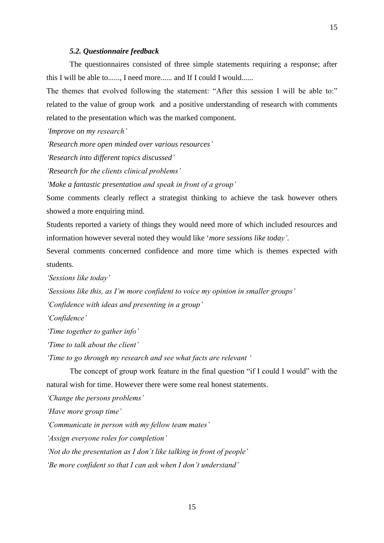#### *5.2. Questionnaire feedback*

The questionnaires consisted of three simple statements requiring a response; after this I will be able to......, I need more...... and If I could I would......

The themes that evolved following the statement: "After this session I will be able to:" related to the value of group work and a positive understanding of research with comments related to the presentation which was the marked component.

*'Improve on my research'*

*'Research more open minded over various resources'*

*'Research into different topics discussed'*

*'Research for the clients clinical problems'*

*'Make a fantastic presentation and speak in front of a group'*

Some comments clearly reflect a strategist thinking to achieve the task however others showed a more enquiring mind.

Students reported a variety of things they would need more of which included resources and information however several noted they would like '*more sessions like today'*.

Several comments concerned confidence and more time which is themes expected with students.

*'Sessions like today'*

*'Sessions like this, as I'm more confident to voice my opinion in smaller groups'*

*'Confidence with ideas and presenting in a group'* 

*'Confidence'*

*'Time together to gather info'* 

*'Time to talk about the client'*

*'Time to go through my research and see what facts are relevant '*

The concept of group work feature in the final question "if I could I would" with the natural wish for time. However there were some real honest statements.

*'Change the persons problems'* 

*'Have more group time'* 

*'Communicate in person with my fellow team mates'* 

*'Assign everyone roles for completion'* 

*'Not do the presentation as I don't like talking in front of people'* 

*'Be more confident so that I can ask when I don't understand'*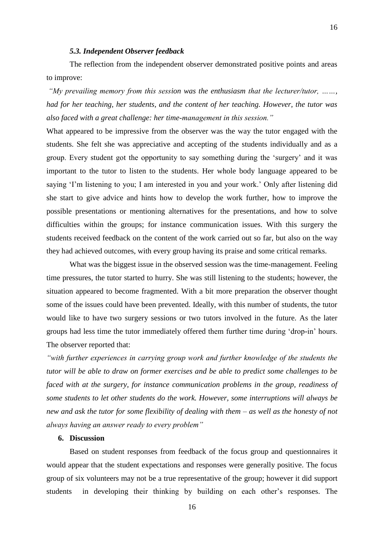#### *5.3. Independent Observer feedback*

The reflection from the independent observer demonstrated positive points and areas to improve:

*"My prevailing memory from this session was the enthusiasm that the lecturer/tutor, ……, had for her teaching, her students, and the content of her teaching. However, the tutor was also faced with a great challenge: her time-management in this session."* 

What appeared to be impressive from the observer was the way the tutor engaged with the students. She felt she was appreciative and accepting of the students individually and as a group. Every student got the opportunity to say something during the 'surgery' and it was important to the tutor to listen to the students. Her whole body language appeared to be saying 'I'm listening to you; I am interested in you and your work.' Only after listening did she start to give advice and hints how to develop the work further, how to improve the possible presentations or mentioning alternatives for the presentations, and how to solve difficulties within the groups; for instance communication issues. With this surgery the students received feedback on the content of the work carried out so far, but also on the way they had achieved outcomes, with every group having its praise and some critical remarks.

What was the biggest issue in the observed session was the time-management. Feeling time pressures, the tutor started to hurry. She was still listening to the students; however, the situation appeared to become fragmented. With a bit more preparation the observer thought some of the issues could have been prevented. Ideally, with this number of students, the tutor would like to have two surgery sessions or two tutors involved in the future. As the later groups had less time the tutor immediately offered them further time during 'drop-in' hours. The observer reported that:

*"with further experiences in carrying group work and further knowledge of the students the tutor will be able to draw on former exercises and be able to predict some challenges to be faced with at the surgery, for instance communication problems in the group, readiness of some students to let other students do the work. However, some interruptions will always be new and ask the tutor for some flexibility of dealing with them – as well as the honesty of not always having an answer ready to every problem"*

# **6. Discussion**

Based on student responses from feedback of the focus group and questionnaires it would appear that the student expectations and responses were generally positive. The focus group of six volunteers may not be a true representative of the group; however it did support students in developing their thinking by building on each other's responses. The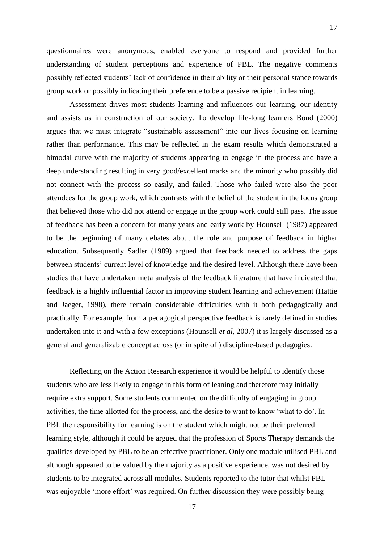questionnaires were anonymous, enabled everyone to respond and provided further understanding of student perceptions and experience of PBL. The negative comments possibly reflected students' lack of confidence in their ability or their personal stance towards group work or possibly indicating their preference to be a passive recipient in learning.

Assessment drives most students learning and influences our learning, our identity and assists us in construction of our society. To develop life-long learners Boud (2000) argues that we must integrate "sustainable assessment" into our lives focusing on learning rather than performance. This may be reflected in the exam results which demonstrated a bimodal curve with the majority of students appearing to engage in the process and have a deep understanding resulting in very good/excellent marks and the minority who possibly did not connect with the process so easily, and failed. Those who failed were also the poor attendees for the group work, which contrasts with the belief of the student in the focus group that believed those who did not attend or engage in the group work could still pass. The issue of feedback has been a concern for many years and early work by Hounsell (1987) appeared to be the beginning of many debates about the role and purpose of feedback in higher education. Subsequently Sadler (1989) argued that feedback needed to address the gaps between students' current level of knowledge and the desired level. Although there have been studies that have undertaken meta analysis of the feedback literature that have indicated that feedback is a highly influential factor in improving student learning and achievement (Hattie and Jaeger, 1998), there remain considerable difficulties with it both pedagogically and practically. For example, from a pedagogical perspective feedback is rarely defined in studies undertaken into it and with a few exceptions (Hounsell *et al,* 2007) it is largely discussed as a general and generalizable concept across (or in spite of ) discipline-based pedagogies.

Reflecting on the Action Research experience it would be helpful to identify those students who are less likely to engage in this form of leaning and therefore may initially require extra support. Some students commented on the difficulty of engaging in group activities, the time allotted for the process, and the desire to want to know 'what to do'. In PBL the responsibility for learning is on the student which might not be their preferred learning style, although it could be argued that the profession of Sports Therapy demands the qualities developed by PBL to be an effective practitioner. Only one module utilised PBL and although appeared to be valued by the majority as a positive experience, was not desired by students to be integrated across all modules. Students reported to the tutor that whilst PBL was enjoyable 'more effort' was required. On further discussion they were possibly being

17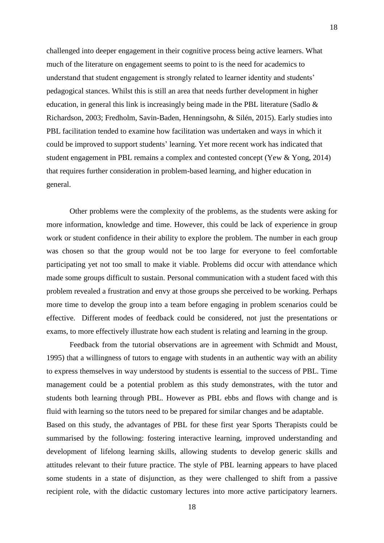challenged into deeper engagement in their cognitive process being active learners. What much of the literature on engagement seems to point to is the need for academics to understand that student engagement is strongly related to learner identity and students' pedagogical stances. Whilst this is still an area that needs further development in higher education, in general this link is increasingly being made in the PBL literature (Sadlo & Richardson, 2003; Fredholm, Savin-Baden, Henningsohn, & Silén, 2015). Early studies into PBL facilitation tended to examine how facilitation was undertaken and ways in which it could be improved to support students' learning. Yet more recent work has indicated that student engagement in PBL remains a complex and contested concept (Yew & Yong, 2014) that requires further consideration in problem-based learning, and higher education in general.

Other problems were the complexity of the problems, as the students were asking for more information, knowledge and time. However, this could be lack of experience in group work or student confidence in their ability to explore the problem. The number in each group was chosen so that the group would not be too large for everyone to feel comfortable participating yet not too small to make it viable. Problems did occur with attendance which made some groups difficult to sustain. Personal communication with a student faced with this problem revealed a frustration and envy at those groups she perceived to be working. Perhaps more time to develop the group into a team before engaging in problem scenarios could be effective. Different modes of feedback could be considered, not just the presentations or exams, to more effectively illustrate how each student is relating and learning in the group.

Feedback from the tutorial observations are in agreement with Schmidt and Moust, 1995) that a willingness of tutors to engage with students in an authentic way with an ability to express themselves in way understood by students is essential to the success of PBL. Time management could be a potential problem as this study demonstrates, with the tutor and students both learning through PBL. However as PBL ebbs and flows with change and is fluid with learning so the tutors need to be prepared for similar changes and be adaptable. Based on this study, the advantages of PBL for these first year Sports Therapists could be

summarised by the following: fostering interactive learning, improved understanding and development of lifelong learning skills, allowing students to develop generic skills and attitudes relevant to their future practice. The style of PBL learning appears to have placed some students in a state of disjunction, as they were challenged to shift from a passive recipient role, with the didactic customary lectures into more active participatory learners.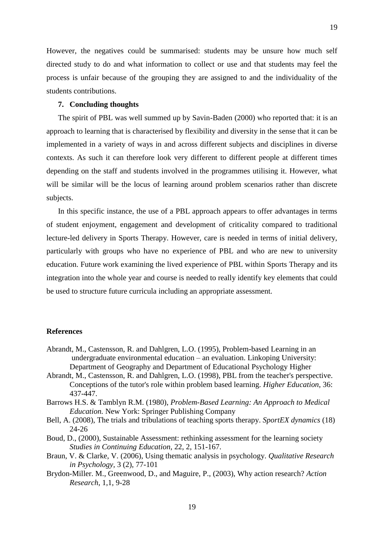However, the negatives could be summarised: students may be unsure how much self directed study to do and what information to collect or use and that students may feel the process is unfair because of the grouping they are assigned to and the individuality of the students contributions.

19

## **7. Concluding thoughts**

The spirit of PBL was well summed up by Savin-Baden (2000) who reported that: it is an approach to learning that is characterised by flexibility and diversity in the sense that it can be implemented in a variety of ways in and across different subjects and disciplines in diverse contexts. As such it can therefore look very different to different people at different times depending on the staff and students involved in the programmes utilising it. However, what will be similar will be the locus of learning around problem scenarios rather than discrete subjects.

In this specific instance, the use of a PBL approach appears to offer advantages in terms of student enjoyment, engagement and development of criticality compared to traditional lecture-led delivery in Sports Therapy. However, care is needed in terms of initial delivery, particularly with groups who have no experience of PBL and who are new to university education. Future work examining the lived experience of PBL within Sports Therapy and its integration into the whole year and course is needed to really identify key elements that could be used to structure future curricula including an appropriate assessment.

#### **References**

- Abrandt, M., Castensson, R. and Dahlgren, L.O. (1995), Problem-based Learning in an undergraduate environmental education – an evaluation. Linkoping University: Department of Geography and Department of Educational Psychology Higher
- Abrandt, M., Castensson, R. and Dahlgren, L.O. (1998), PBL from the teacher's perspective. Conceptions of the tutor's role within problem based learning. *Higher Education*, 36: 437-447.
- Barrows H.S. & Tamblyn R.M. (1980), *Problem-Based Learning: An Approach to Medical Education.* New York: Springer Publishing Company
- Bell, A. (2008), The trials and tribulations of teaching sports therapy. *SportEX dynamics* (18) 24-26
- Boud, D., (2000), Sustainable Assessment: rethinking assessment for the learning society *Studies in Continuing Education*, 22, 2, 151-167.
- Braun, V. & Clarke, V. (2006), Using thematic analysis in psychology. *Qualitative Research in Psychology,* 3 (2), 77-101
- Brydon-Miller. M., Greenwood, D., and Maguire, P., (2003), Why action research? *Action Research*, 1,1, 9-28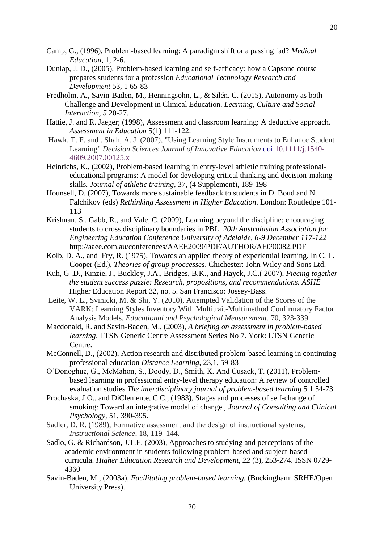- Camp, G., (1996), Problem-based learning: A paradigm shift or a passing fad? *Medical Education*, 1, 2-6.
- Dunlap, J. D., (2005), Problem-based learning and self-efficacy: how a Capsone course prepares students for a profession *Educational Technology Research and Development* 53, 1 65-83
- Fredholm, A., Savin-Baden, M., Henningsohn, L., & Silén. C. (2015), Autonomy as both Challenge and Development in Clinical Education. *Learning, Culture and Social Interaction, 5* 20-27.
- Hattie, J. and R. Jaeger; (1998), Assessment and classroom learning: A deductive approach. *Assessment in Education* 5(1) 111-122.
- Hawk, T. F. and . Shah, A. J (2007), "Using Learning Style Instruments to Enhance Student Learning" *Decision Sciences Journal of Innovative Education* [doi](https://en.wikipedia.org/wiki/Digital_object_identifier)[:10.1111/j.1540-](https://dx.doi.org/10.1111%2Fj.1540-4609.2007.00125.x) [4609.2007.00125.x](https://dx.doi.org/10.1111%2Fj.1540-4609.2007.00125.x)
- Heinrichs, K., (2002), Problem-based learning in entry-level athletic training professionaleducational programs: A model for developing critical thinking and decision-making skills*. Journal of athletic training,* 37, (4 Supplement), 189-198
- Hounsell, D. (2007), Towards more sustainable feedback to students in D. Boud and N. Falchikov (eds) *Rethinking Assessment in Higher Education*. London: Routledge 101- 113
- Krishnan. S., Gabb, R., and Vale, C. (2009), Learning beyond the discipline: encouraging students to cross disciplinary boundaries in PBL*. 20th Australasian Association for Engineering Education Conference University of Adelaide, 6-9 December 117-122* <http://aaee.com.au/conferences/AAEE2009/PDF/AUTHOR/AE090082.PDF>
- Kolb, D. A., and Fry, R. (1975), Towards an applied theory of experiential learning. In C. L. Cooper (Ed.), *Theories of group proccesses*. Chichester: John Wiley and Sons Ltd.
- Kuh, G .D., Kinzie, J., Buckley, J.A., Bridges, B.K., and Hayek, J.C.( 2007), *Piecing together the student success puzzle: Research, propositions, and recommendations. ASHE*  Higher Education Report 32, no. 5. San Francisco: Jossey-Bass.
- Leite, W. L., Svinicki, M. & Shi, Y. (2010), Attempted Validation of the Scores of the VARK: Learning Styles Inventory With Multitrait-Multimethod Confirmatory Factor Analysis Models*. Educational and Psychological Measurement*. 70, 323-339.
- Macdonald, R. and Savin-Baden, M., (2003), *A briefing on assessment in problem-based learning*. LTSN Generic Centre Assessment Series No 7. York: LTSN Generic Centre.
- McConnell, D., (2002), Action research and distributed problem-based learning in continuing professional education *Distance Learning*, 23,1, 59-83
- O'Donoghue, G., McMahon, S., Doody, D., Smith, K. And Cusack, T. (2011), Problembased learning in professional entry-level therapy education: A review of controlled evaluation studies *The interdisciplinary journal of problem-based learning* 5 1 54-73
- Prochaska, J.O., and DiClemente, C.C., (1983), Stages and processes of self-change of smoking: Toward an integrative model of change., *Journal of Consulting and Clinical Psychology,* 51, 390-395.
- Sadler, D. R. (1989), Formative assessment and the design of instructional systems, *Instructional Science,* 18, 119–144.
- Sadlo, G. & Richardson, J.T.E. (2003), Approaches to studying and perceptions of the academic environment in students following problem-based and subject-based curricula. *Higher Education Research and Development, 22* (3), 253-274. ISSN 0729- 4360
- Savin-Baden, M., (2003a), *Facilitating problem-based learning.* (Buckingham: SRHE/Open University Press).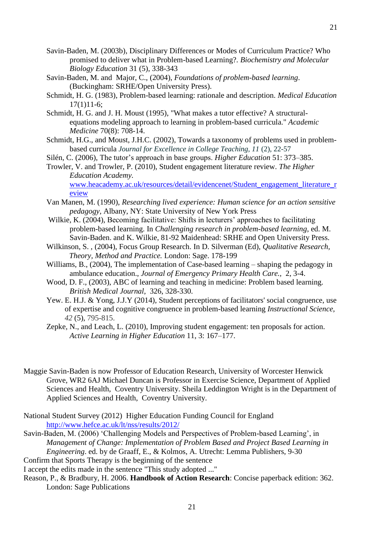- Savin-Baden, M. (2003b), Disciplinary Differences or Modes of Curriculum Practice? Who promised to deliver what in Problem-based Learning?*. Biochemistry and Molecular Biology Education* 31 (5), 338-343
- Savin-Baden, M. and Major, C., (2004), *Foundations of problem-based learning*. (Buckingham: SRHE/Open University Press).
- Schmidt, H. G. (1983), Problem-based learning: rationale and description. *Medical Education*  $17(1)11-6;$
- Schmidt, H. G. and J. H. Moust (1995), "What makes a tutor effective? A structuralequations modeling approach to learning in problem-based curricula." *Academic Medicine* 70(8): 708-14.
- [Schmidt, H.G.,](http://en.scientificcommons.org/h_g_schmidt) and [Moust, J.H.C.](http://en.scientificcommons.org/j_h_c_moust) (2002), Towards a taxonomy of problems used in problembased curricula *Journal for Excellence in College Teaching, 11* (2), 22-57
- Silén, C. (2006), The tutor's approach in base groups. *Higher Education* 51: 373–385.
- Trowler, V. and Trowler, P. (2010), Student engagement literature review. *The Higher Education Academy.*

[www.heacademy.ac.uk/resources/detail/evidencenet/Student\\_engagement\\_literature\\_r](http://www.heacademy.ac.uk/resources/detail/evidencenet/Student_engagement_literature_review) [eview](http://www.heacademy.ac.uk/resources/detail/evidencenet/Student_engagement_literature_review)

- Van Manen, M. (1990), *Researching lived experience: Human science for an action sensitive pedagogy,* Albany, NY: State University of New York Press
- Wilkie, K. (2004), Becoming facilitative: Shifts in lecturers' approaches to facilitating problem-based learning. In *Challenging research in problem-based learning*, ed. M. Savin-Baden. and K. Wilkie, 81-92 Maidenhead: SRHE and Open University Press.
- Wilkinson, S. , (2004), Focus Group Research. In D. Silverman (Ed), *Qualitative Research, Theory, Method and Practice.* London: Sage. 178-199
- Williams, B., (2004), The implementation of Case-based learning shaping the pedagogy in ambulance education., *Journal of Emergency Primary Health Care.,* 2, 3-4.
- Wood, D. F., (2003), ABC of learning and teaching in medicine: Problem based learning. *British Medical Journal,* 326, 328-330.
- Yew. E. H.J. & Yong, J.J.Y (2014), Student perceptions of facilitators' social congruence, use of expertise and cognitive congruence in problem-based learning *Instructional Science, 42* (5), 795-815.
- Zepke, N., and Leach, L. (2010), Improving student engagement: ten proposals for action. *Active Learning in Higher Education* 11, 3: 167–177.
- Maggie Savin-Baden is now Professor of Education Research, University of Worcester Henwick Grove, WR2 6AJ Michael Duncan is Professor in Exercise Science, Department of Applied Sciences and Health, Coventry University. Sheila Leddington Wright is in the Department of Applied Sciences and Health, Coventry University.
- National Student Survey (2012) Higher Education Funding Council for England <http://www.hefce.ac.uk/lt/nss/results/2012/>
- Savin-Baden, M. (2006) 'Challenging Models and Perspectives of Problem-based Learning', in *[Management of Change: Implementation of Problem Based and Project Based Learning in](http://www.amazon.co.uk/Management-Change-E-De-Graaff/dp/9087900139/ref=sr_1_1?s=books&ie=UTF8&qid=1332861961&sr=1-1)  [Engineering](http://www.amazon.co.uk/Management-Change-E-De-Graaff/dp/9087900139/ref=sr_1_1?s=books&ie=UTF8&qid=1332861961&sr=1-1)*. ed. by de Graaff, E., & Kolmos, A. Utrecht: Lemma Publishers, 9-30
- Confirm that Sports Therapy is the beginning of the sentence
- I accept the edits made in the sentence "This study adopted ..."
- Reason, P., & Bradbury, H. 2006. **Handbook of Action Research**: Concise paperback edition: 362. London: Sage Publications